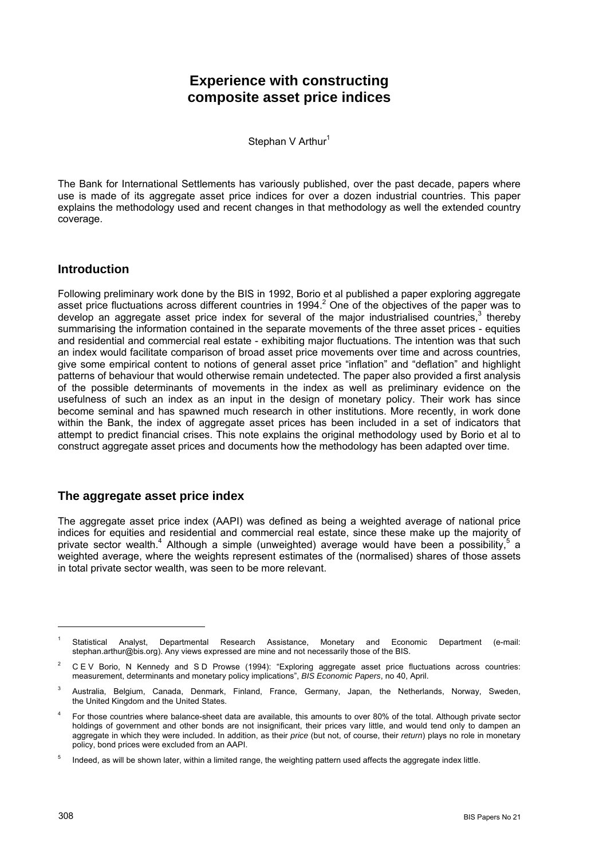# **Experience with constructing composite asset price indices**

Stephan V Arthur<sup>1</sup>

The Bank for International Settlements has variously published, over the past decade, papers where use is made of its aggregate asset price indices for over a dozen industrial countries. This paper explains the methodology used and recent changes in that methodology as well the extended country coverage.

### **Introduction**

Following preliminary work done by the BIS in 1992, Borio et al published a paper exploring aggregate asset price fluctuations across different countries in 1994. $^2$  One of the objectives of the paper was to develop an aggregate asset price index for several of the major industrialised countries,<sup>3</sup> thereby summarising the information contained in the separate movements of the three asset prices - equities and residential and commercial real estate - exhibiting major fluctuations. The intention was that such an index would facilitate comparison of broad asset price movements over time and across countries, give some empirical content to notions of general asset price "inflation" and "deflation" and highlight patterns of behaviour that would otherwise remain undetected. The paper also provided a first analysis of the possible determinants of movements in the index as well as preliminary evidence on the usefulness of such an index as an input in the design of monetary policy. Their work has since become seminal and has spawned much research in other institutions. More recently, in work done within the Bank, the index of aggregate asset prices has been included in a set of indicators that attempt to predict financial crises. This note explains the original methodology used by Borio et al to construct aggregate asset prices and documents how the methodology has been adapted over time.

### **The aggregate asset price index**

The aggregate asset price index (AAPI) was defined as being a weighted average of national price indices for equities and residential and commercial real estate, since these make up the majority of private sector wealth.<sup>4</sup> Although a simple (unweighted) average would have been a possibility, a weighted average, where the weights represent estimates of the (normalised) shares of those assets in total private sector wealth, was seen to be more relevant.

<sup>1</sup> Statistical Analyst, Departmental Research Assistance, Monetary and Economic Department (e-mail: stephan.arthur@bis.org). Any views expressed are mine and not necessarily those of the BIS.

<sup>2</sup> C E V Borio, N Kennedy and S D Prowse (1994): "Exploring aggregate asset price fluctuations across countries: measurement, determinants and monetary policy implications", *BIS Economic Papers*, no 40, April.

<sup>3</sup> Australia, Belgium, Canada, Denmark, Finland, France, Germany, Japan, the Netherlands, Norway, Sweden, the United Kingdom and the United States.

<sup>4</sup> For those countries where balance-sheet data are available, this amounts to over 80% of the total. Although private sector holdings of government and other bonds are not insignificant, their prices vary little, and would tend only to dampen an aggregate in which they were included. In addition, as their *price* (but not, of course, their *return*) plays no role in monetary policy, bond prices were excluded from an AAPI.

<sup>5</sup> Indeed, as will be shown later, within a limited range, the weighting pattern used affects the aggregate index little.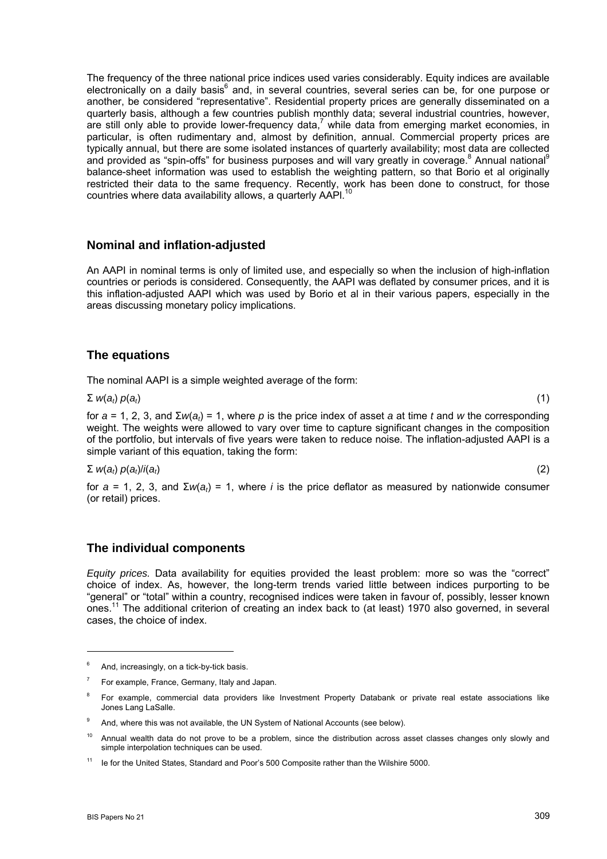The frequency of the three national price indices used varies considerably. Equity indices are available electronically on a daily basis<sup>6</sup> and, in several countries, several series can be, for one purpose or another, be considered "representative". Residential property prices are generally disseminated on a quarterly basis, although a few countries publish monthly data; several industrial countries, however, are still only able to provide lower-frequency data,<sup>7</sup> while data from emerging market economies, in particular, is often rudimentary and, almost by definition, annual. Commercial property prices are typically annual, but there are some isolated instances of quarterly availability; most data are collected and provided as "spin-offs" for business purposes and will vary greatly in coverage.<sup>8</sup> Annual national<sup>9</sup> balance-sheet information was used to establish the weighting pattern, so that Borio et al originally restricted their data to the same frequency. Recently, work has been done to construct, for those countries where data availability allows, a quarterly AAPI.<sup>10</sup>

### **Nominal and inflation-adjusted**

An AAPI in nominal terms is only of limited use, and especially so when the inclusion of high-inflation countries or periods is considered. Consequently, the AAPI was deflated by consumer prices, and it is this inflation-adjusted AAPI which was used by Borio et al in their various papers, especially in the areas discussing monetary policy implications.

# **The equations**

The nominal AAPI is a simple weighted average of the form:

 $\sum w(a_t) p(a_t)$  (1)

for *a* = 1, 2, 3, and Σ*w*(*at*) = 1, where *p* is the price index of asset *a* at time *t* and *w* the corresponding weight. The weights were allowed to vary over time to capture significant changes in the composition of the portfolio, but intervals of five years were taken to reduce noise. The inflation-adjusted AAPI is a simple variant of this equation, taking the form:

#### $\sum w(a_i) p(a_i)/i(a_i)$  (2)

for *a* = 1, 2, 3, and Σ*w*(*at*) = 1, where *i* is the price deflator as measured by nationwide consumer (or retail) prices.

### **The individual components**

*Equity prices.* Data availability for equities provided the least problem: more so was the "correct" choice of index. As, however, the long-term trends varied little between indices purporting to be "general" or "total" within a country, recognised indices were taken in favour of, possibly, lesser known ones.11 The additional criterion of creating an index back to (at least) 1970 also governed, in several cases, the choice of index.

 $\overline{a}$ 

<sup>6</sup> And, increasingly, on a tick-by-tick basis.

For example, France, Germany, Italy and Japan.

<sup>8</sup> For example, commercial data providers like Investment Property Databank or private real estate associations like Jones Lang LaSalle.

<sup>9</sup> And, where this was not available, the UN System of National Accounts (see below).

<sup>10</sup> Annual wealth data do not prove to be a problem, since the distribution across asset classes changes only slowly and simple interpolation techniques can be used.

<sup>&</sup>lt;sup>11</sup> Ie for the United States, Standard and Poor's 500 Composite rather than the Wilshire 5000.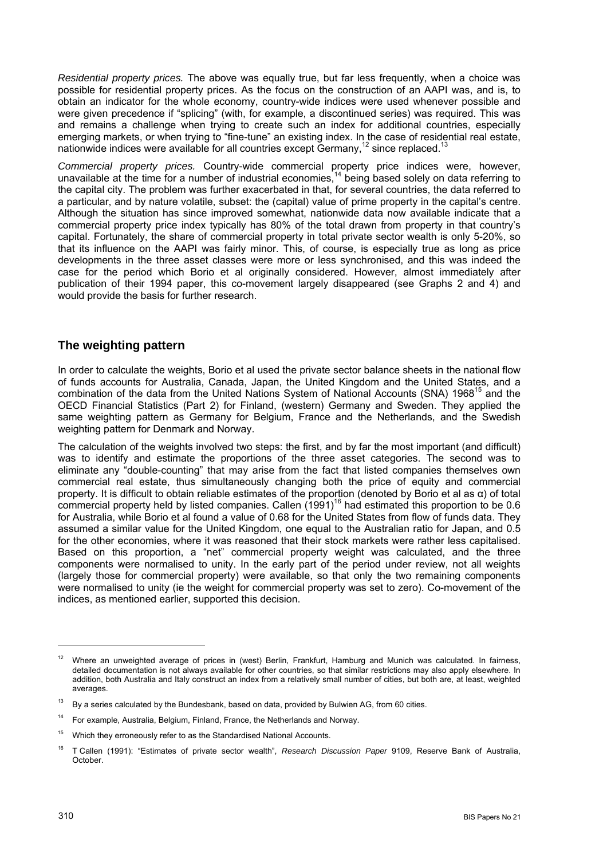*Residential property prices.* The above was equally true, but far less frequently, when a choice was possible for residential property prices. As the focus on the construction of an AAPI was, and is, to obtain an indicator for the whole economy, country-wide indices were used whenever possible and were given precedence if "splicing" (with, for example, a discontinued series) was required. This was and remains a challenge when trying to create such an index for additional countries, especially emerging markets, or when trying to "fine-tune" an existing index. In the case of residential real estate, nationwide indices were available for all countries except Germany,<sup>12</sup> since replaced.<sup>1</sup>

*Commercial property prices.* Country-wide commercial property price indices were, however, unavailable at the time for a number of industrial economies,<sup>14</sup> being based solely on data referring to the capital city. The problem was further exacerbated in that, for several countries, the data referred to a particular, and by nature volatile, subset: the (capital) value of prime property in the capital's centre. Although the situation has since improved somewhat, nationwide data now available indicate that a commercial property price index typically has 80% of the total drawn from property in that country's capital. Fortunately, the share of commercial property in total private sector wealth is only 5-20%, so that its influence on the AAPI was fairly minor. This, of course, is especially true as long as price developments in the three asset classes were more or less synchronised, and this was indeed the case for the period which Borio et al originally considered. However, almost immediately after publication of their 1994 paper, this co-movement largely disappeared (see Graphs 2 and 4) and would provide the basis for further research.

### **The weighting pattern**

In order to calculate the weights, Borio et al used the private sector balance sheets in the national flow of funds accounts for Australia, Canada, Japan, the United Kingdom and the United States, and a combination of the data from the United Nations System of National Accounts (SNA) 1968<sup>15</sup> and the OECD Financial Statistics (Part 2) for Finland, (western) Germany and Sweden. They applied the same weighting pattern as Germany for Belgium, France and the Netherlands, and the Swedish weighting pattern for Denmark and Norway.

The calculation of the weights involved two steps: the first, and by far the most important (and difficult) was to identify and estimate the proportions of the three asset categories. The second was to eliminate any "double-counting" that may arise from the fact that listed companies themselves own commercial real estate, thus simultaneously changing both the price of equity and commercial property. It is difficult to obtain reliable estimates of the proportion (denoted by Borio et al as α) of total commercial property held by listed companies. Callen  $(1991)^{16}$  had estimated this proportion to be 0.6 for Australia, while Borio et al found a value of 0.68 for the United States from flow of funds data. They assumed a similar value for the United Kingdom, one equal to the Australian ratio for Japan, and 0.5 for the other economies, where it was reasoned that their stock markets were rather less capitalised. Based on this proportion, a "net" commercial property weight was calculated, and the three components were normalised to unity. In the early part of the period under review, not all weights (largely those for commercial property) were available, so that only the two remaining components were normalised to unity (ie the weight for commercial property was set to zero). Co-movement of the indices, as mentioned earlier, supported this decision.

<sup>12</sup> Where an unweighted average of prices in (west) Berlin, Frankfurt, Hamburg and Munich was calculated. In fairness, detailed documentation is not always available for other countries, so that similar restrictions may also apply elsewhere. In addition, both Australia and Italy construct an index from a relatively small number of cities, but both are, at least, weighted averages

<sup>&</sup>lt;sup>13</sup> By a series calculated by the Bundesbank, based on data, provided by Bulwien AG, from 60 cities.

<sup>&</sup>lt;sup>14</sup> For example, Australia, Belgium, Finland, France, the Netherlands and Norway.

<sup>&</sup>lt;sup>15</sup> Which they erroneously refer to as the Standardised National Accounts.

<sup>16</sup> T Callen (1991): "Estimates of private sector wealth", *Research Discussion Paper* 9109, Reserve Bank of Australia, October.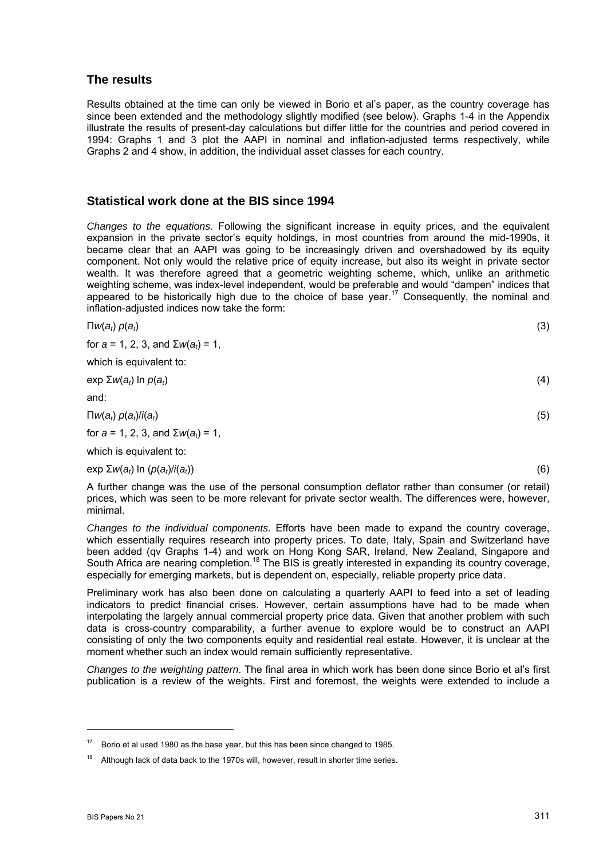## **The results**

Results obtained at the time can only be viewed in Borio et al's paper, as the country coverage has since been extended and the methodology slightly modified (see below). Graphs 1-4 in the Appendix illustrate the results of present-day calculations but differ little for the countries and period covered in 1994: Graphs 1 and 3 plot the AAPI in nominal and inflation-adjusted terms respectively, while Graphs 2 and 4 show, in addition, the individual asset classes for each country.

# **Statistical work done at the BIS since 1994**

*Changes to the equations*. Following the significant increase in equity prices, and the equivalent expansion in the private sector's equity holdings, in most countries from around the mid-1990s, it became clear that an AAPI was going to be increasingly driven and overshadowed by its equity component. Not only would the relative price of equity increase, but also its weight in private sector wealth. It was therefore agreed that a geometric weighting scheme, which, unlike an arithmetic weighting scheme, was index-level independent, would be preferable and would "dampen" indices that appeared to be historically high due to the choice of base year.<sup>17</sup> Consequently, the nominal and inflation-adjusted indices now take the form:

| $\prod w(a_t) p(a_t)$                         | (3) |
|-----------------------------------------------|-----|
| for $a = 1, 2, 3$ , and $\Sigma w(a_t) = 1$ , |     |
| which is equivalent to:                       |     |

| exp Σw(a <sub>t</sub> ) In $p(a_t)$ | (4) |
|-------------------------------------|-----|
|                                     |     |

and:

 $\Box w(a_i) p(a_i)/i(a_i)$  (5)

for *a* = 1, 2, 3, and  $\Sigma w(a_t) = 1$ ,

which is equivalent to:

#### exp Σ*w*(*at*) ln (*p*(*at*)/*i*(*at*)) (6)

A further change was the use of the personal consumption deflator rather than consumer (or retail) prices, which was seen to be more relevant for private sector wealth. The differences were, however, minimal.

*Changes to the individual components*. Efforts have been made to expand the country coverage, which essentially requires research into property prices. To date, Italy, Spain and Switzerland have been added (qv Graphs 1-4) and work on Hong Kong SAR, Ireland, New Zealand, Singapore and South Africa are nearing completion.<sup>18</sup> The BIS is greatly interested in expanding its country coverage, especially for emerging markets, but is dependent on, especially, reliable property price data.

Preliminary work has also been done on calculating a quarterly AAPI to feed into a set of leading indicators to predict financial crises. However, certain assumptions have had to be made when interpolating the largely annual commercial property price data. Given that another problem with such data is cross-country comparability, a further avenue to explore would be to construct an AAPI consisting of only the two components equity and residential real estate. However, it is unclear at the moment whether such an index would remain sufficiently representative.

*Changes to the weighting pattern*. The final area in which work has been done since Borio et al's first publication is a review of the weights. First and foremost, the weights were extended to include a

 $17$  Borio et al used 1980 as the base year, but this has been since changed to 1985.

Although lack of data back to the 1970s will, however, result in shorter time series.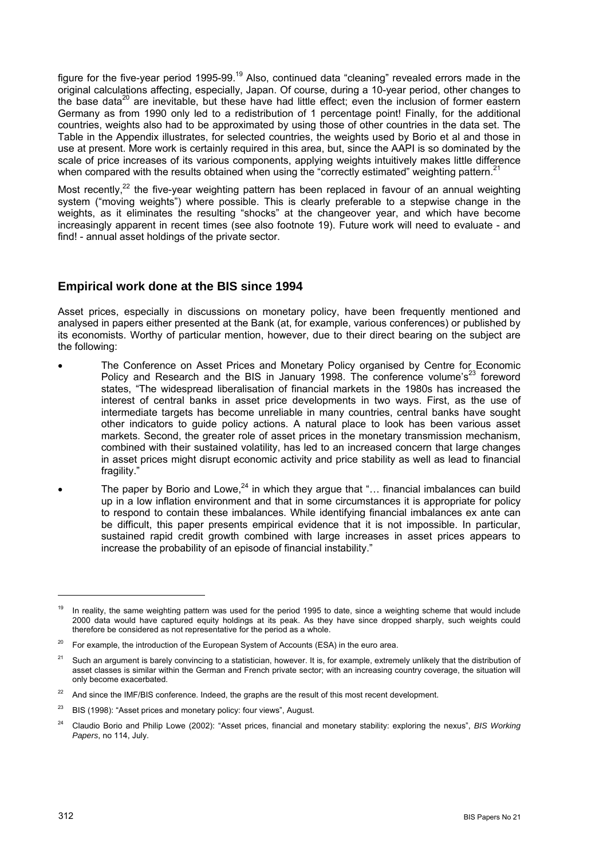figure for the five-year period 1995-99.<sup>19</sup> Also, continued data "cleaning" revealed errors made in the original calculations affecting, especially, Japan. Of course, during a 10-year period, other changes to the base data<sup>20</sup> are inevitable, but these have had little effect; even the inclusion of former eastern Germany as from 1990 only led to a redistribution of 1 percentage point! Finally, for the additional countries, weights also had to be approximated by using those of other countries in the data set. The Table in the Appendix illustrates, for selected countries, the weights used by Borio et al and those in use at present. More work is certainly required in this area, but, since the AAPI is so dominated by the scale of price increases of its various components, applying weights intuitively makes little difference when compared with the results obtained when using the "correctly estimated" weighting pattern.<sup>21</sup>

Most recently, $^{22}$  the five-year weighting pattern has been replaced in favour of an annual weighting system ("moving weights") where possible. This is clearly preferable to a stepwise change in the weights, as it eliminates the resulting "shocks" at the changeover year, and which have become increasingly apparent in recent times (see also footnote 19). Future work will need to evaluate - and find! - annual asset holdings of the private sector.

# **Empirical work done at the BIS since 1994**

Asset prices, especially in discussions on monetary policy, have been frequently mentioned and analysed in papers either presented at the Bank (at, for example, various conferences) or published by its economists. Worthy of particular mention, however, due to their direct bearing on the subject are the following:

- The Conference on Asset Prices and Monetary Policy organised by Centre for Economic Policy and Research and the BIS in January 1998. The conference volume's<sup>23</sup> foreword states, "The widespread liberalisation of financial markets in the 1980s has increased the interest of central banks in asset price developments in two ways. First, as the use of intermediate targets has become unreliable in many countries, central banks have sought other indicators to guide policy actions. A natural place to look has been various asset markets. Second, the greater role of asset prices in the monetary transmission mechanism, combined with their sustained volatility, has led to an increased concern that large changes in asset prices might disrupt economic activity and price stability as well as lead to financial fragility."
- The paper by Borio and Lowe,  $24$  in which they argue that "... financial imbalances can build up in a low inflation environment and that in some circumstances it is appropriate for policy to respond to contain these imbalances. While identifying financial imbalances ex ante can be difficult, this paper presents empirical evidence that it is not impossible. In particular, sustained rapid credit growth combined with large increases in asset prices appears to increase the probability of an episode of financial instability."

 $19$  In reality, the same weighting pattern was used for the period 1995 to date. since a weighting scheme that would include 2000 data would have captured equity holdings at its peak. As they have since dropped sharply, such weights could therefore be considered as not representative for the period as a whole.

<sup>&</sup>lt;sup>20</sup> For example, the introduction of the European System of Accounts (ESA) in the euro area.

Such an argument is barely convincing to a statistician, however. It is, for example, extremely unlikely that the distribution of asset classes is similar within the German and French private sector; with an increasing country coverage, the situation will only become exacerbated.

<sup>&</sup>lt;sup>22</sup> And since the IMF/BIS conference. Indeed, the graphs are the result of this most recent development.

<sup>&</sup>lt;sup>23</sup> BIS (1998): "Asset prices and monetary policy: four views". August.

<sup>24</sup> Claudio Borio and Philip Lowe (2002): "Asset prices, financial and monetary stability: exploring the nexus", *BIS Working Papers*, no 114, July.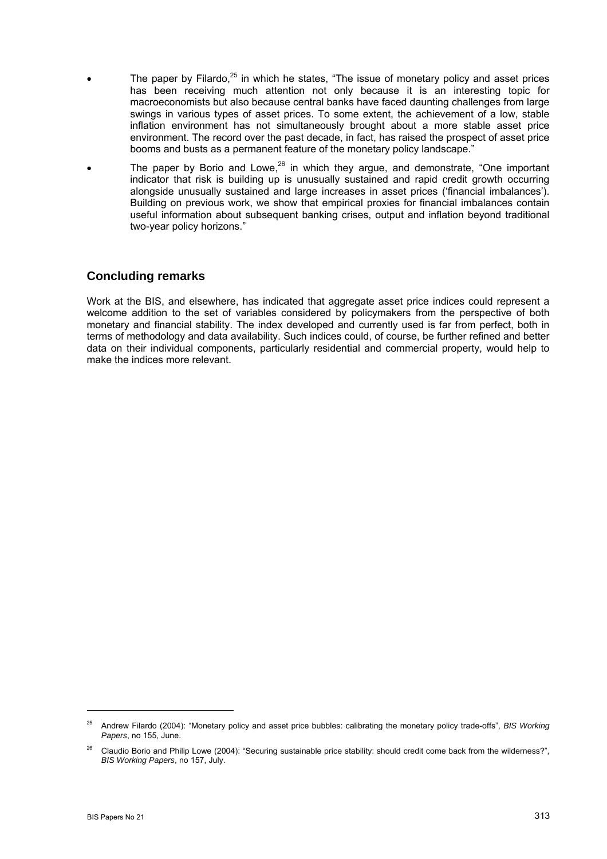- The paper by Filardo, $^{25}$  in which he states, "The issue of monetary policy and asset prices has been receiving much attention not only because it is an interesting topic for macroeconomists but also because central banks have faced daunting challenges from large swings in various types of asset prices. To some extent, the achievement of a low, stable inflation environment has not simultaneously brought about a more stable asset price environment. The record over the past decade, in fact, has raised the prospect of asset price booms and busts as a permanent feature of the monetary policy landscape."
- The paper by Borio and Lowe, $^{26}$  in which they argue, and demonstrate, "One important indicator that risk is building up is unusually sustained and rapid credit growth occurring alongside unusually sustained and large increases in asset prices ('financial imbalances'). Building on previous work, we show that empirical proxies for financial imbalances contain useful information about subsequent banking crises, output and inflation beyond traditional two-year policy horizons."

### **Concluding remarks**

Work at the BIS, and elsewhere, has indicated that aggregate asset price indices could represent a welcome addition to the set of variables considered by policymakers from the perspective of both monetary and financial stability. The index developed and currently used is far from perfect, both in terms of methodology and data availability. Such indices could, of course, be further refined and better data on their individual components, particularly residential and commercial property, would help to make the indices more relevant.

<sup>25</sup> Andrew Filardo (2004): "Monetary policy and asset price bubbles: calibrating the monetary policy trade-offs", *BIS Working Papers*, no 155, June.

<sup>26</sup> Claudio Borio and Philip Lowe (2004): "Securing sustainable price stability: should credit come back from the wilderness?", *BIS Working Papers*, no 157, July.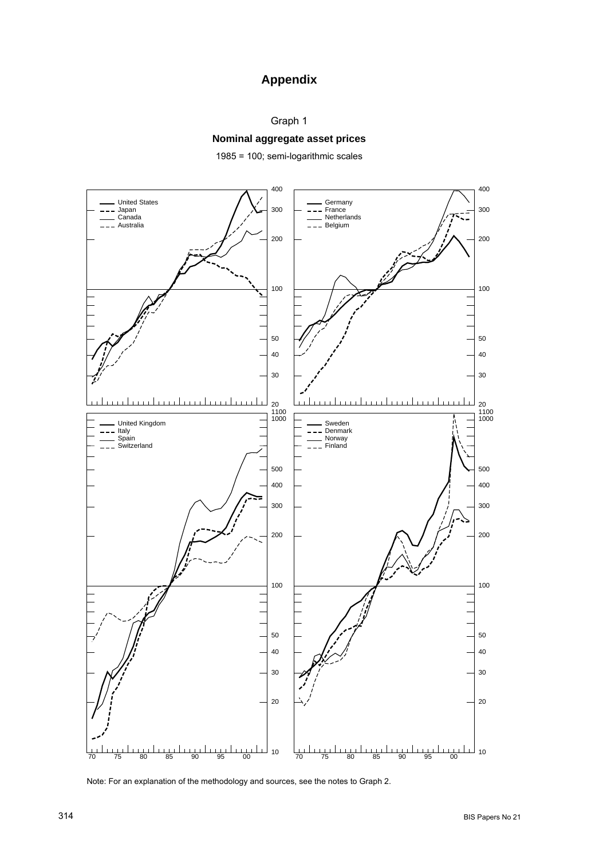# **Appendix**



#### **Nominal aggregate asset prices**

1985 = 100; semi-logarithmic scales



Note: For an explanation of the methodology and sources, see the notes to Graph 2.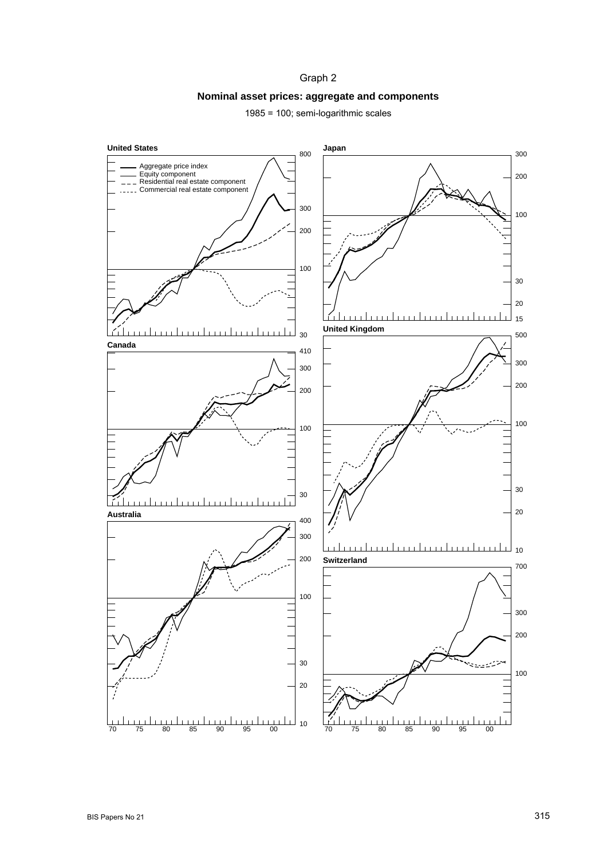Graph 2

## **Nominal asset prices: aggregate and components**

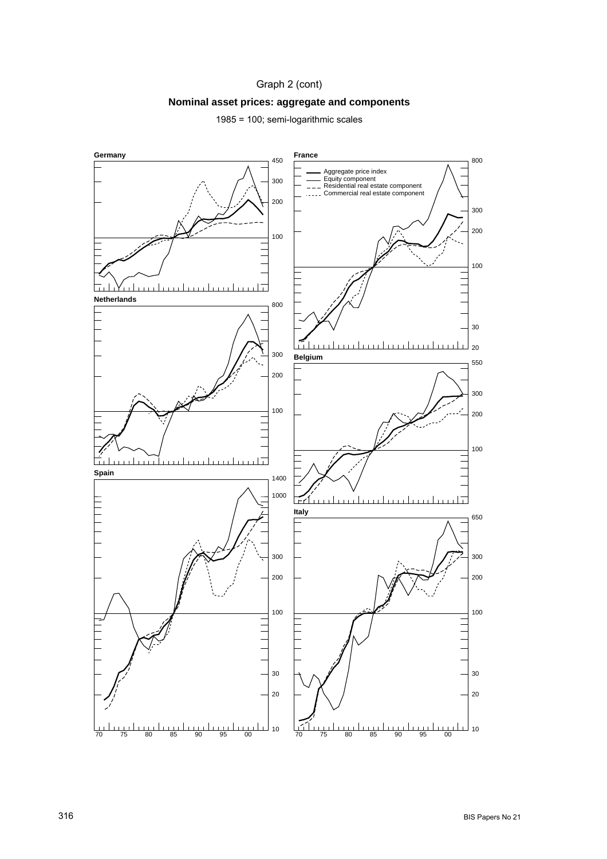## Graph 2 (cont)

## **Nominal asset prices: aggregate and components**

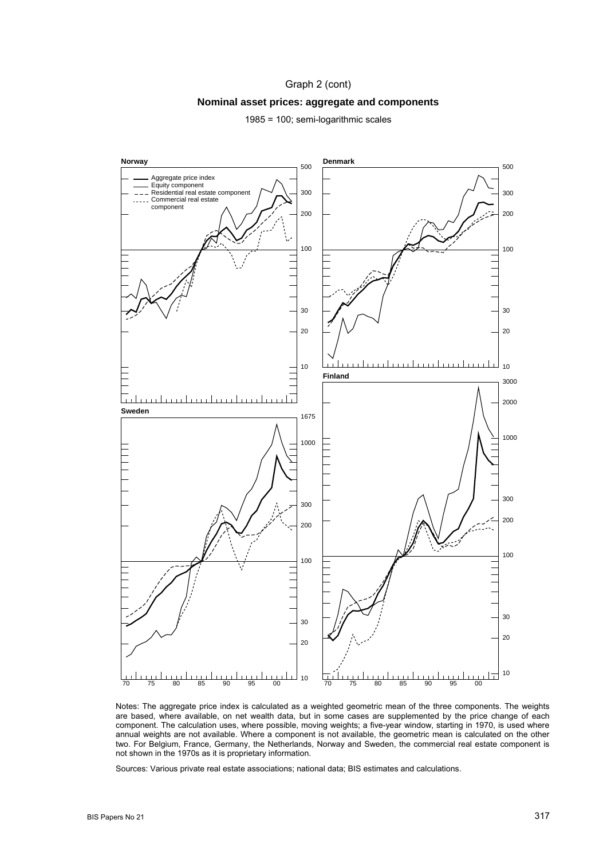#### Graph 2 (cont)

#### **Nominal asset prices: aggregate and components**



1985 = 100; semi-logarithmic scales

Notes: The aggregate price index is calculated as a weighted geometric mean of the three components. The weights are based, where available, on net wealth data, but in some cases are supplemented by the price change of each component. The calculation uses, where possible, moving weights; a five-year window, starting in 1970, is used where annual weights are not available. Where a component is not available, the geometric mean is calculated on the other two. For Belgium, France, Germany, the Netherlands, Norway and Sweden, the commercial real estate component is not shown in the 1970s as it is proprietary information.

Sources: Various private real estate associations; national data; BIS estimates and calculations.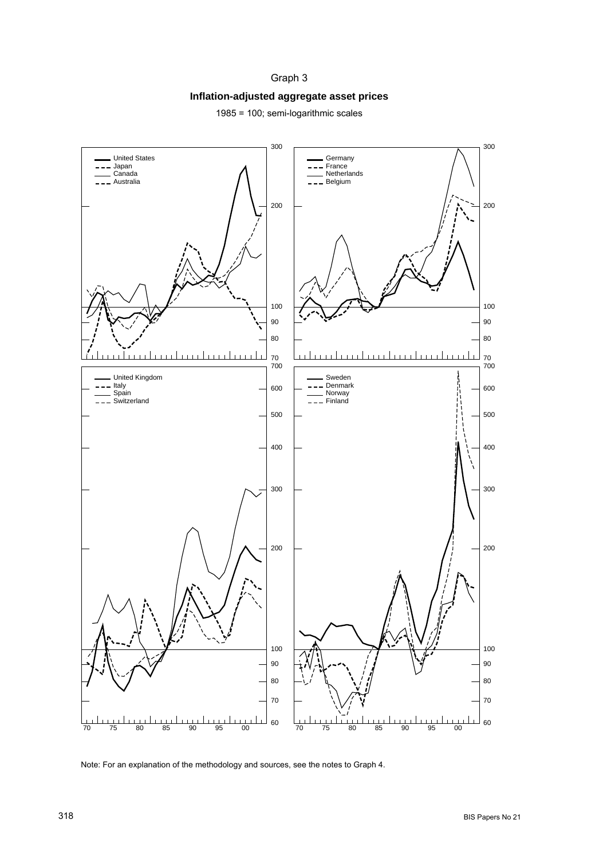#### Graph 3

#### **Inflation-adjusted aggregate asset prices**





Note: For an explanation of the methodology and sources, see the notes to Graph 4.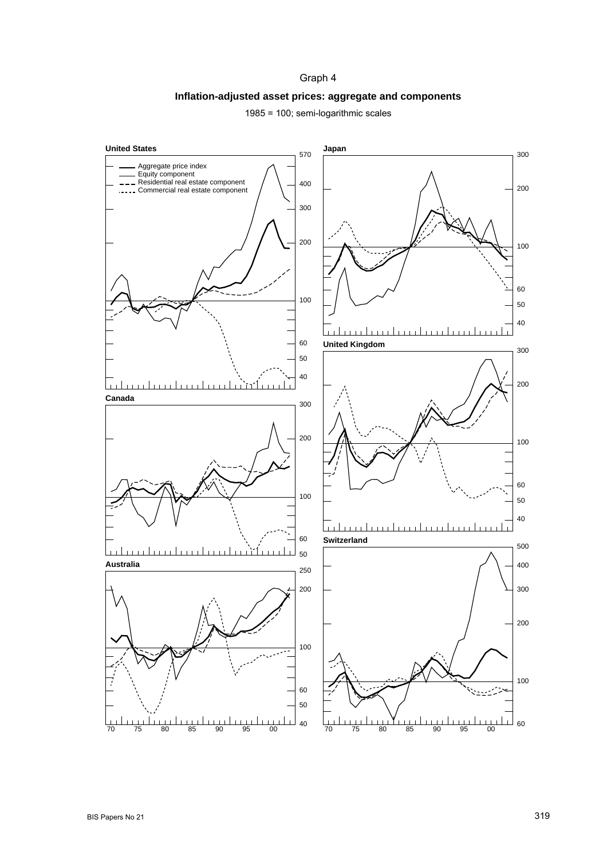#### Graph 4

#### **Inflation-adjusted asset prices: aggregate and components**

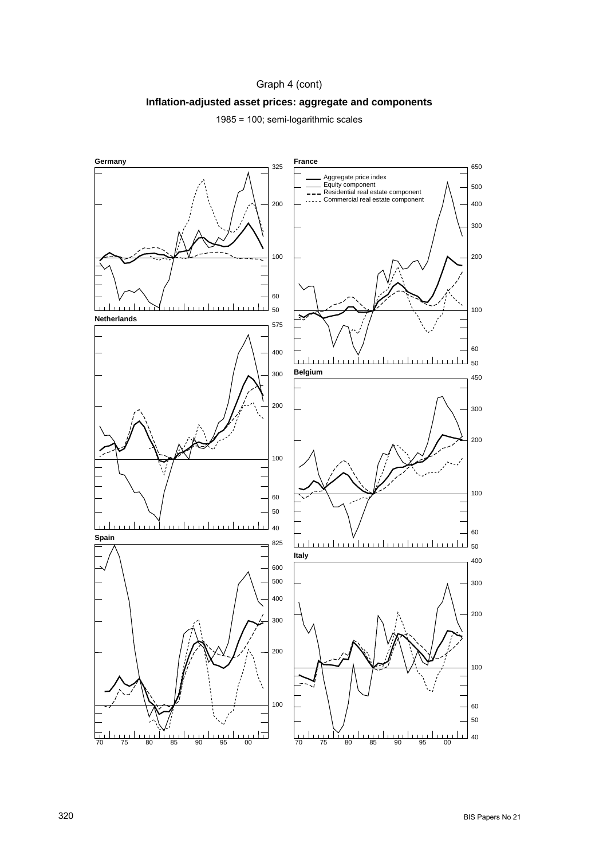#### Graph 4 (cont)

## **Inflation-adjusted asset prices: aggregate and components**

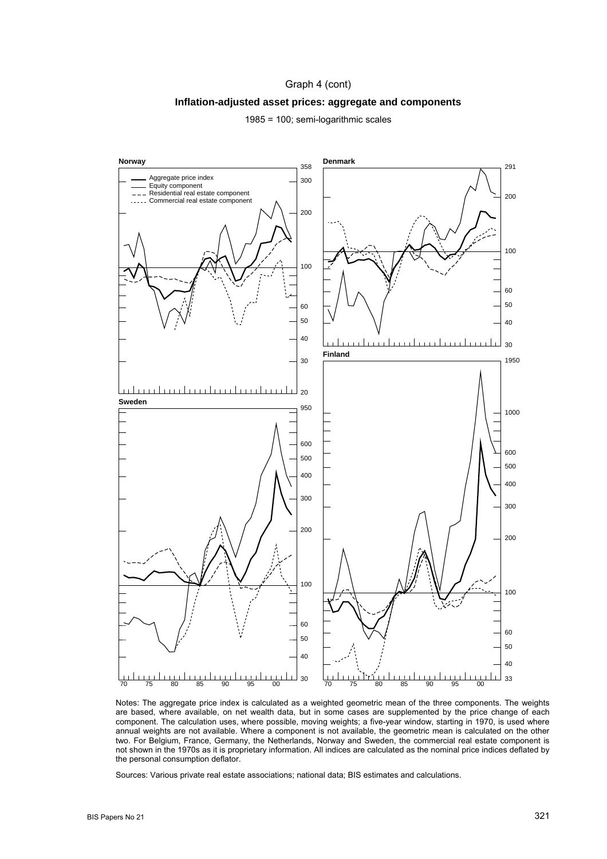#### Graph 4 (cont)

#### **Inflation-adjusted asset prices: aggregate and components**



1985 = 100; semi-logarithmic scales

Notes: The aggregate price index is calculated as a weighted geometric mean of the three components. The weights are based, where available, on net wealth data, but in some cases are supplemented by the price change of each component. The calculation uses, where possible, moving weights; a five-year window, starting in 1970, is used where annual weights are not available. Where a component is not available, the geometric mean is calculated on the other two. For Belgium, France, Germany, the Netherlands, Norway and Sweden, the commercial real estate component is not shown in the 1970s as it is proprietary information. All indices are calculated as the nominal price indices deflated by the personal consumption deflator.

Sources: Various private real estate associations; national data; BIS estimates and calculations.